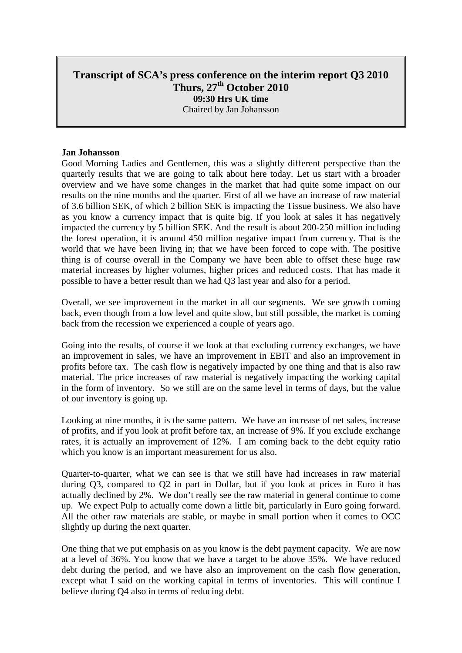# **Transcript of SCA's press conference on the interim report Q3 2010 Thurs, 27th October 2010 09:30 Hrs UK time**  Chaired by Jan Johansson

#### **Jan Johansson**

Good Morning Ladies and Gentlemen, this was a slightly different perspective than the quarterly results that we are going to talk about here today. Let us start with a broader overview and we have some changes in the market that had quite some impact on our results on the nine months and the quarter. First of all we have an increase of raw material of 3.6 billion SEK, of which 2 billion SEK is impacting the Tissue business. We also have as you know a currency impact that is quite big. If you look at sales it has negatively impacted the currency by 5 billion SEK. And the result is about 200-250 million including the forest operation, it is around 450 million negative impact from currency. That is the world that we have been living in; that we have been forced to cope with. The positive thing is of course overall in the Company we have been able to offset these huge raw material increases by higher volumes, higher prices and reduced costs. That has made it possible to have a better result than we had Q3 last year and also for a period.

Overall, we see improvement in the market in all our segments. We see growth coming back, even though from a low level and quite slow, but still possible, the market is coming back from the recession we experienced a couple of years ago.

Going into the results, of course if we look at that excluding currency exchanges, we have an improvement in sales, we have an improvement in EBIT and also an improvement in profits before tax. The cash flow is negatively impacted by one thing and that is also raw material. The price increases of raw material is negatively impacting the working capital in the form of inventory. So we still are on the same level in terms of days, but the value of our inventory is going up.

Looking at nine months, it is the same pattern. We have an increase of net sales, increase of profits, and if you look at profit before tax, an increase of 9%. If you exclude exchange rates, it is actually an improvement of 12%. I am coming back to the debt equity ratio which you know is an important measurement for us also.

Quarter-to-quarter, what we can see is that we still have had increases in raw material during Q3, compared to Q2 in part in Dollar, but if you look at prices in Euro it has actually declined by 2%. We don't really see the raw material in general continue to come up. We expect Pulp to actually come down a little bit, particularly in Euro going forward. All the other raw materials are stable, or maybe in small portion when it comes to OCC slightly up during the next quarter.

One thing that we put emphasis on as you know is the debt payment capacity. We are now at a level of 36%. You know that we have a target to be above 35%. We have reduced debt during the period, and we have also an improvement on the cash flow generation, except what I said on the working capital in terms of inventories. This will continue I believe during Q4 also in terms of reducing debt.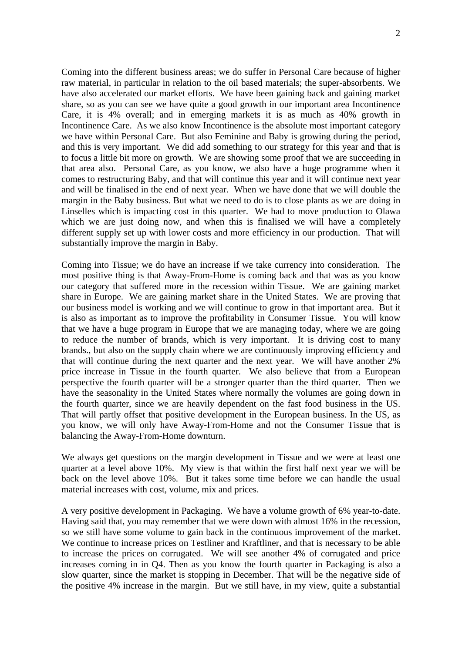Coming into the different business areas; we do suffer in Personal Care because of higher raw material, in particular in relation to the oil based materials; the super-absorbents. We have also accelerated our market efforts. We have been gaining back and gaining market share, so as you can see we have quite a good growth in our important area Incontinence Care, it is 4% overall; and in emerging markets it is as much as 40% growth in Incontinence Care. As we also know Incontinence is the absolute most important category we have within Personal Care. But also Feminine and Baby is growing during the period, and this is very important. We did add something to our strategy for this year and that is to focus a little bit more on growth. We are showing some proof that we are succeeding in that area also. Personal Care, as you know, we also have a huge programme when it comes to restructuring Baby, and that will continue this year and it will continue next year and will be finalised in the end of next year. When we have done that we will double the margin in the Baby business. But what we need to do is to close plants as we are doing in Linselles which is impacting cost in this quarter. We had to move production to Olawa which we are just doing now, and when this is finalised we will have a completely different supply set up with lower costs and more efficiency in our production. That will substantially improve the margin in Baby.

Coming into Tissue; we do have an increase if we take currency into consideration. The most positive thing is that Away-From-Home is coming back and that was as you know our category that suffered more in the recession within Tissue. We are gaining market share in Europe. We are gaining market share in the United States. We are proving that our business model is working and we will continue to grow in that important area. But it is also as important as to improve the profitability in Consumer Tissue. You will know that we have a huge program in Europe that we are managing today, where we are going to reduce the number of brands, which is very important. It is driving cost to many brands., but also on the supply chain where we are continuously improving efficiency and that will continue during the next quarter and the next year. We will have another 2% price increase in Tissue in the fourth quarter. We also believe that from a European perspective the fourth quarter will be a stronger quarter than the third quarter. Then we have the seasonality in the United States where normally the volumes are going down in the fourth quarter, since we are heavily dependent on the fast food business in the US. That will partly offset that positive development in the European business. In the US, as you know, we will only have Away-From-Home and not the Consumer Tissue that is balancing the Away-From-Home downturn.

We always get questions on the margin development in Tissue and we were at least one quarter at a level above 10%. My view is that within the first half next year we will be back on the level above 10%. But it takes some time before we can handle the usual material increases with cost, volume, mix and prices.

A very positive development in Packaging. We have a volume growth of 6% year-to-date. Having said that, you may remember that we were down with almost 16% in the recession, so we still have some volume to gain back in the continuous improvement of the market. We continue to increase prices on Testliner and Kraftliner, and that is necessary to be able to increase the prices on corrugated. We will see another 4% of corrugated and price increases coming in in Q4. Then as you know the fourth quarter in Packaging is also a slow quarter, since the market is stopping in December. That will be the negative side of the positive 4% increase in the margin. But we still have, in my view, quite a substantial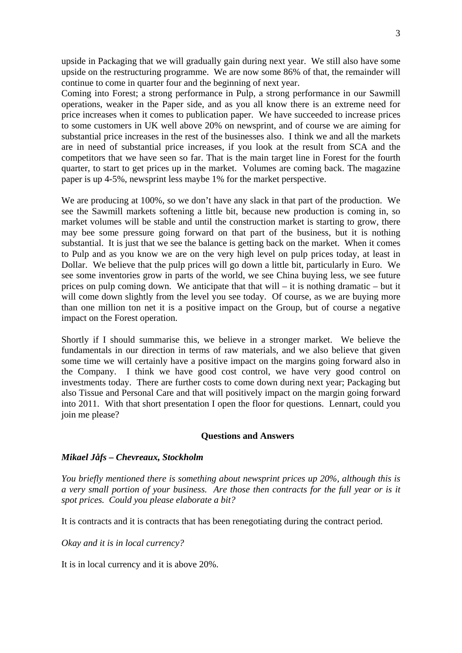upside in Packaging that we will gradually gain during next year. We still also have some upside on the restructuring programme. We are now some 86% of that, the remainder will continue to come in quarter four and the beginning of next year.

Coming into Forest; a strong performance in Pulp, a strong performance in our Sawmill operations, weaker in the Paper side, and as you all know there is an extreme need for price increases when it comes to publication paper. We have succeeded to increase prices to some customers in UK well above 20% on newsprint, and of course we are aiming for substantial price increases in the rest of the businesses also. I think we and all the markets are in need of substantial price increases, if you look at the result from SCA and the competitors that we have seen so far. That is the main target line in Forest for the fourth quarter, to start to get prices up in the market. Volumes are coming back. The magazine paper is up 4-5%, newsprint less maybe 1% for the market perspective.

We are producing at 100%, so we don't have any slack in that part of the production. We see the Sawmill markets softening a little bit, because new production is coming in, so market volumes will be stable and until the construction market is starting to grow, there may bee some pressure going forward on that part of the business, but it is nothing substantial. It is just that we see the balance is getting back on the market. When it comes to Pulp and as you know we are on the very high level on pulp prices today, at least in Dollar. We believe that the pulp prices will go down a little bit, particularly in Euro. We see some inventories grow in parts of the world, we see China buying less, we see future prices on pulp coming down. We anticipate that that will – it is nothing dramatic – but it will come down slightly from the level you see today. Of course, as we are buying more than one million ton net it is a positive impact on the Group, but of course a negative impact on the Forest operation.

Shortly if I should summarise this, we believe in a stronger market. We believe the fundamentals in our direction in terms of raw materials, and we also believe that given some time we will certainly have a positive impact on the margins going forward also in the Company. I think we have good cost control, we have very good control on investments today. There are further costs to come down during next year; Packaging but also Tissue and Personal Care and that will positively impact on the margin going forward into 2011. With that short presentation I open the floor for questions. Lennart, could you join me please?

#### **Questions and Answers**

#### *Mikael Jåfs – Chevreaux, Stockholm*

*You briefly mentioned there is something about newsprint prices up 20%, although this is a very small portion of your business. Are those then contracts for the full year or is it spot prices. Could you please elaborate a bit?* 

It is contracts and it is contracts that has been renegotiating during the contract period.

*Okay and it is in local currency?* 

It is in local currency and it is above 20%.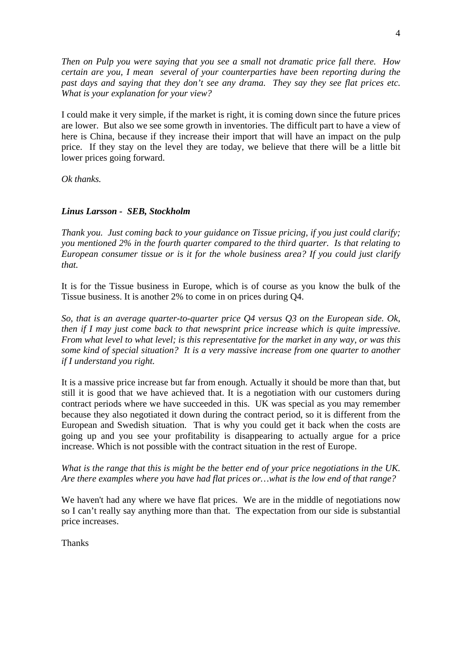*Then on Pulp you were saying that you see a small not dramatic price fall there. How certain are you, I mean several of your counterparties have been reporting during the past days and saying that they don't see any drama. They say they see flat prices etc. What is your explanation for your view?* 

I could make it very simple, if the market is right, it is coming down since the future prices are lower. But also we see some growth in inventories. The difficult part to have a view of here is China, because if they increase their import that will have an impact on the pulp price. If they stay on the level they are today, we believe that there will be a little bit lower prices going forward.

*Ok thanks.* 

## *Linus Larsson - SEB, Stockholm*

*Thank you. Just coming back to your guidance on Tissue pricing, if you just could clarify; you mentioned 2% in the fourth quarter compared to the third quarter. Is that relating to European consumer tissue or is it for the whole business area? If you could just clarify that.* 

It is for the Tissue business in Europe, which is of course as you know the bulk of the Tissue business. It is another 2% to come in on prices during Q4.

*So, that is an average quarter-to-quarter price Q4 versus Q3 on the European side. Ok, then if I may just come back to that newsprint price increase which is quite impressive. From what level to what level; is this representative for the market in any way, or was this some kind of special situation? It is a very massive increase from one quarter to another if I understand you right.* 

It is a massive price increase but far from enough. Actually it should be more than that, but still it is good that we have achieved that. It is a negotiation with our customers during contract periods where we have succeeded in this. UK was special as you may remember because they also negotiated it down during the contract period, so it is different from the European and Swedish situation. That is why you could get it back when the costs are going up and you see your profitability is disappearing to actually argue for a price increase. Which is not possible with the contract situation in the rest of Europe.

*What is the range that this is might be the better end of your price negotiations in the UK. Are there examples where you have had flat prices or…what is the low end of that range?* 

We haven't had any where we have flat prices. We are in the middle of negotiations now so I can't really say anything more than that. The expectation from our side is substantial price increases.

**Thanks**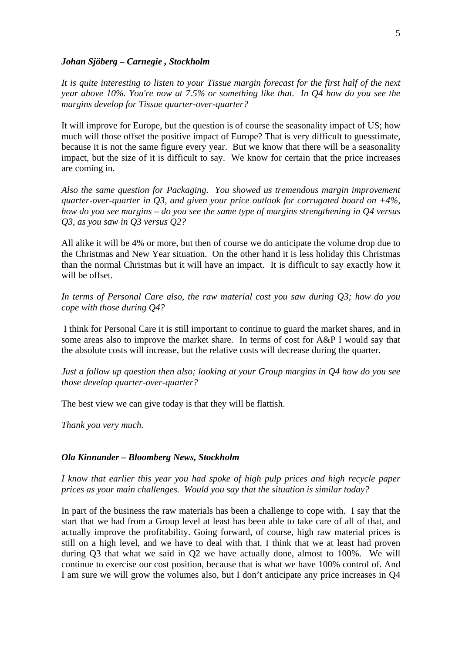#### *Johan Sjöberg – Carnegie , Stockholm*

*It is quite interesting to listen to your Tissue margin forecast for the first half of the next year above 10%. You're now at 7.5% or something like that. In Q4 how do you see the margins develop for Tissue quarter-over-quarter?* 

It will improve for Europe, but the question is of course the seasonality impact of US; how much will those offset the positive impact of Europe? That is very difficult to guesstimate, because it is not the same figure every year. But we know that there will be a seasonality impact, but the size of it is difficult to say. We know for certain that the price increases are coming in.

*Also the same question for Packaging. You showed us tremendous margin improvement quarter-over-quarter in Q3, and given your price outlook for corrugated board on +4%, how do you see margins – do you see the same type of margins strengthening in Q4 versus Q3, as you saw in Q3 versus Q2?* 

All alike it will be 4% or more, but then of course we do anticipate the volume drop due to the Christmas and New Year situation. On the other hand it is less holiday this Christmas than the normal Christmas but it will have an impact. It is difficult to say exactly how it will be offset.

*In terms of Personal Care also, the raw material cost you saw during Q3; how do you cope with those during Q4?* 

 I think for Personal Care it is still important to continue to guard the market shares, and in some areas also to improve the market share. In terms of cost for A&P I would say that the absolute costs will increase, but the relative costs will decrease during the quarter.

*Just a follow up question then also; looking at your Group margins in Q4 how do you see those develop quarter-over-quarter?* 

The best view we can give today is that they will be flattish.

*Thank you very much.* 

#### *Ola Kinnander – Bloomberg News, Stockholm*

*I know that earlier this year you had spoke of high pulp prices and high recycle paper prices as your main challenges. Would you say that the situation is similar today?* 

In part of the business the raw materials has been a challenge to cope with. I say that the start that we had from a Group level at least has been able to take care of all of that, and actually improve the profitability. Going forward, of course, high raw material prices is still on a high level, and we have to deal with that. I think that we at least had proven during Q3 that what we said in Q2 we have actually done, almost to 100%. We will continue to exercise our cost position, because that is what we have 100% control of. And I am sure we will grow the volumes also, but I don't anticipate any price increases in Q4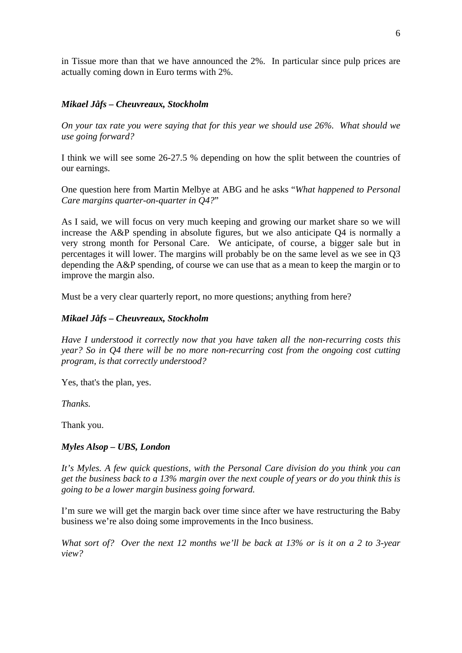in Tissue more than that we have announced the 2%. In particular since pulp prices are actually coming down in Euro terms with 2%.

## *Mikael Jåfs – Cheuvreaux, Stockholm*

*On your tax rate you were saying that for this year we should use 26%. What should we use going forward?* 

I think we will see some 26-27.5 % depending on how the split between the countries of our earnings.

One question here from Martin Melbye at ABG and he asks "*What happened to Personal Care margins quarter-on-quarter in Q4?*"

As I said, we will focus on very much keeping and growing our market share so we will increase the A&P spending in absolute figures, but we also anticipate Q4 is normally a very strong month for Personal Care. We anticipate, of course, a bigger sale but in percentages it will lower. The margins will probably be on the same level as we see in Q3 depending the A&P spending, of course we can use that as a mean to keep the margin or to improve the margin also.

Must be a very clear quarterly report, no more questions; anything from here?

#### *Mikael Jåfs – Cheuvreaux, Stockholm*

*Have I understood it correctly now that you have taken all the non-recurring costs this year? So in Q4 there will be no more non-recurring cost from the ongoing cost cutting program, is that correctly understood?* 

Yes, that's the plan, yes.

*Thanks.* 

Thank you.

## *Myles Alsop – UBS, London*

*It's Myles. A few quick questions, with the Personal Care division do you think you can get the business back to a 13% margin over the next couple of years or do you think this is going to be a lower margin business going forward.* 

I'm sure we will get the margin back over time since after we have restructuring the Baby business we're also doing some improvements in the Inco business.

*What sort of? Over the next 12 months we'll be back at 13% or is it on a 2 to 3-year view?*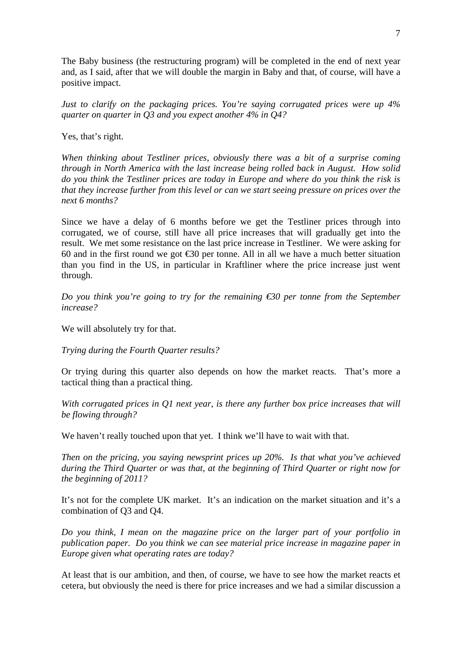The Baby business (the restructuring program) will be completed in the end of next year and, as I said, after that we will double the margin in Baby and that, of course, will have a positive impact.

*Just to clarify on the packaging prices. You're saying corrugated prices were up 4% quarter on quarter in Q3 and you expect another 4% in Q4?* 

Yes, that's right.

*When thinking about Testliner prices, obviously there was a bit of a surprise coming through in North America with the last increase being rolled back in August. How solid do you think the Testliner prices are today in Europe and where do you think the risk is that they increase further from this level or can we start seeing pressure on prices over the next 6 months?* 

Since we have a delay of 6 months before we get the Testliner prices through into corrugated, we of course, still have all price increases that will gradually get into the result. We met some resistance on the last price increase in Testliner. We were asking for 60 and in the first round we got  $\epsilon$ 30 per tonne. All in all we have a much better situation than you find in the US, in particular in Kraftliner where the price increase just went through.

*Do you think you're going to try for the remaining €30 per tonne from the September increase?* 

We will absolutely try for that.

*Trying during the Fourth Quarter results?* 

Or trying during this quarter also depends on how the market reacts. That's more a tactical thing than a practical thing.

*With corrugated prices in Q1 next year, is there any further box price increases that will be flowing through?* 

We haven't really touched upon that yet. I think we'll have to wait with that.

*Then on the pricing, you saying newsprint prices up 20%. Is that what you've achieved during the Third Quarter or was that, at the beginning of Third Quarter or right now for the beginning of 2011?* 

It's not for the complete UK market. It's an indication on the market situation and it's a combination of Q3 and Q4.

*Do you think, I mean on the magazine price on the larger part of your portfolio in publication paper. Do you think we can see material price increase in magazine paper in Europe given what operating rates are today?* 

At least that is our ambition, and then, of course, we have to see how the market reacts et cetera, but obviously the need is there for price increases and we had a similar discussion a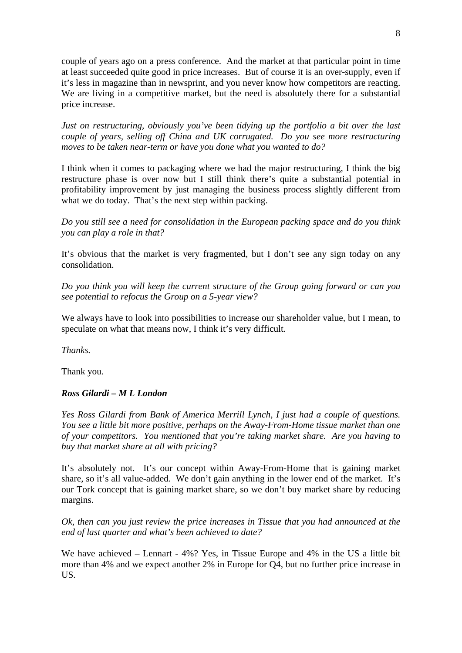couple of years ago on a press conference. And the market at that particular point in time at least succeeded quite good in price increases. But of course it is an over-supply, even if it's less in magazine than in newsprint, and you never know how competitors are reacting. We are living in a competitive market, but the need is absolutely there for a substantial price increase.

*Just on restructuring, obviously you've been tidying up the portfolio a bit over the last couple of years, selling off China and UK corrugated. Do you see more restructuring moves to be taken near-term or have you done what you wanted to do?* 

I think when it comes to packaging where we had the major restructuring, I think the big restructure phase is over now but I still think there's quite a substantial potential in profitability improvement by just managing the business process slightly different from what we do today. That's the next step within packing.

*Do you still see a need for consolidation in the European packing space and do you think you can play a role in that?* 

It's obvious that the market is very fragmented, but I don't see any sign today on any consolidation.

*Do you think you will keep the current structure of the Group going forward or can you see potential to refocus the Group on a 5-year view?* 

We always have to look into possibilities to increase our shareholder value, but I mean, to speculate on what that means now, I think it's very difficult.

*Thanks.* 

Thank you.

## *Ross Gilardi – M L London*

*Yes Ross Gilardi from Bank of America Merrill Lynch, I just had a couple of questions. You see a little bit more positive, perhaps on the Away-From-Home tissue market than one of your competitors. You mentioned that you're taking market share. Are you having to buy that market share at all with pricing?* 

It's absolutely not. It's our concept within Away-From-Home that is gaining market share, so it's all value-added. We don't gain anything in the lower end of the market. It's our Tork concept that is gaining market share, so we don't buy market share by reducing margins.

*Ok, then can you just review the price increases in Tissue that you had announced at the end of last quarter and what's been achieved to date?* 

We have achieved – Lennart - 4%? Yes, in Tissue Europe and 4% in the US a little bit more than 4% and we expect another 2% in Europe for Q4, but no further price increase in US.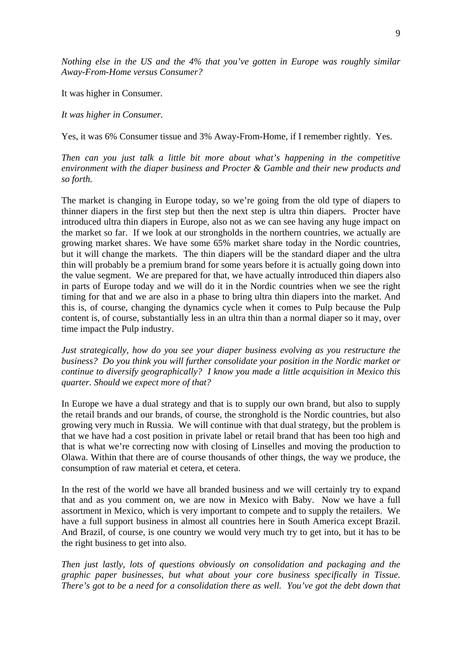*Nothing else in the US and the 4% that you've gotten in Europe was roughly similar Away-From-Home versus Consumer?* 

It was higher in Consumer.

*It was higher in Consumer.* 

Yes, it was 6% Consumer tissue and 3% Away-From-Home, if I remember rightly. Yes.

*Then can you just talk a little bit more about what's happening in the competitive environment with the diaper business and Procter & Gamble and their new products and so forth.* 

The market is changing in Europe today, so we're going from the old type of diapers to thinner diapers in the first step but then the next step is ultra thin diapers. Procter have introduced ultra thin diapers in Europe, also not as we can see having any huge impact on the market so far. If we look at our strongholds in the northern countries, we actually are growing market shares. We have some 65% market share today in the Nordic countries, but it will change the markets. The thin diapers will be the standard diaper and the ultra thin will probably be a premium brand for some years before it is actually going down into the value segment. We are prepared for that, we have actually introduced thin diapers also in parts of Europe today and we will do it in the Nordic countries when we see the right timing for that and we are also in a phase to bring ultra thin diapers into the market. And this is, of course, changing the dynamics cycle when it comes to Pulp because the Pulp content is, of course, substantially less in an ultra thin than a normal diaper so it may, over time impact the Pulp industry.

*Just strategically, how do you see your diaper business evolving as you restructure the business? Do you think you will further consolidate your position in the Nordic market or continue to diversify geographically? I know you made a little acquisition in Mexico this quarter. Should we expect more of that?* 

In Europe we have a dual strategy and that is to supply our own brand, but also to supply the retail brands and our brands, of course, the stronghold is the Nordic countries, but also growing very much in Russia. We will continue with that dual strategy, but the problem is that we have had a cost position in private label or retail brand that has been too high and that is what we're correcting now with closing of Linselles and moving the production to Olawa. Within that there are of course thousands of other things, the way we produce, the consumption of raw material et cetera, et cetera.

In the rest of the world we have all branded business and we will certainly try to expand that and as you comment on, we are now in Mexico with Baby. Now we have a full assortment in Mexico, which is very important to compete and to supply the retailers. We have a full support business in almost all countries here in South America except Brazil. And Brazil, of course, is one country we would very much try to get into, but it has to be the right business to get into also.

*Then just lastly, lots of questions obviously on consolidation and packaging and the graphic paper businesses, but what about your core business specifically in Tissue. There's got to be a need for a consolidation there as well. You've got the debt down that*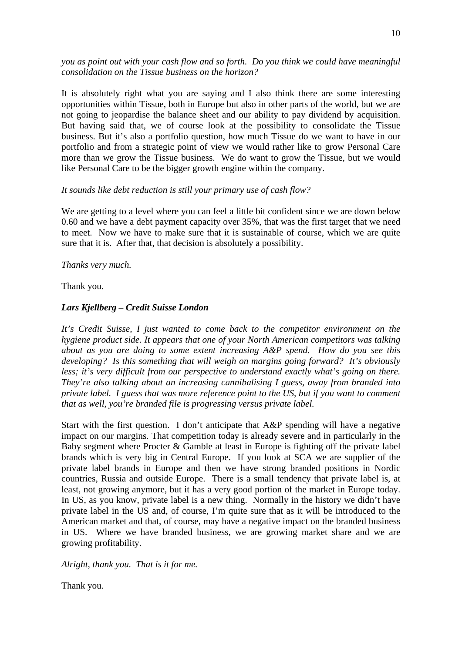*you as point out with your cash flow and so forth. Do you think we could have meaningful consolidation on the Tissue business on the horizon?* 

It is absolutely right what you are saying and I also think there are some interesting opportunities within Tissue, both in Europe but also in other parts of the world, but we are not going to jeopardise the balance sheet and our ability to pay dividend by acquisition. But having said that, we of course look at the possibility to consolidate the Tissue business. But it's also a portfolio question, how much Tissue do we want to have in our portfolio and from a strategic point of view we would rather like to grow Personal Care more than we grow the Tissue business. We do want to grow the Tissue, but we would like Personal Care to be the bigger growth engine within the company.

#### *It sounds like debt reduction is still your primary use of cash flow?*

We are getting to a level where you can feel a little bit confident since we are down below 0.60 and we have a debt payment capacity over 35%, that was the first target that we need to meet. Now we have to make sure that it is sustainable of course, which we are quite sure that it is. After that, that decision is absolutely a possibility.

#### *Thanks very much.*

Thank you.

## *Lars Kjellberg – Credit Suisse London*

*It's Credit Suisse, I just wanted to come back to the competitor environment on the hygiene product side. It appears that one of your North American competitors was talking about as you are doing to some extent increasing A&P spend. How do you see this developing? Is this something that will weigh on margins going forward? It's obviously less; it's very difficult from our perspective to understand exactly what's going on there. They're also talking about an increasing cannibalising I guess, away from branded into private label. I guess that was more reference point to the US, but if you want to comment that as well, you're branded file is progressing versus private label.* 

Start with the first question. I don't anticipate that A&P spending will have a negative impact on our margins. That competition today is already severe and in particularly in the Baby segment where Procter & Gamble at least in Europe is fighting off the private label brands which is very big in Central Europe. If you look at SCA we are supplier of the private label brands in Europe and then we have strong branded positions in Nordic countries, Russia and outside Europe. There is a small tendency that private label is, at least, not growing anymore, but it has a very good portion of the market in Europe today. In US, as you know, private label is a new thing. Normally in the history we didn't have private label in the US and, of course, I'm quite sure that as it will be introduced to the American market and that, of course, may have a negative impact on the branded business in US. Where we have branded business, we are growing market share and we are growing profitability.

*Alright, thank you. That is it for me.* 

Thank you.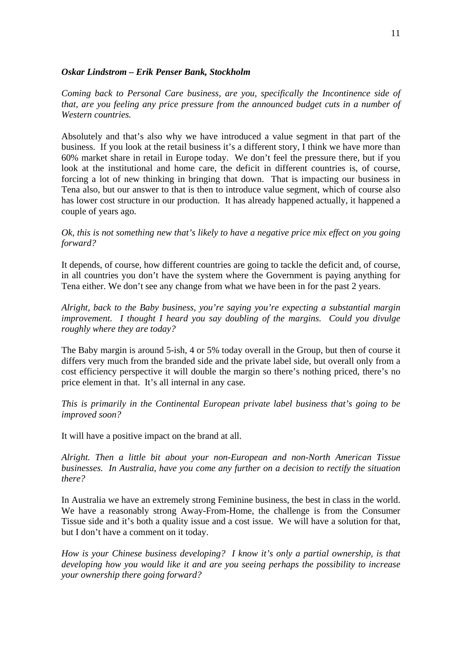#### *Oskar Lindstrom – Erik Penser Bank, Stockholm*

*Coming back to Personal Care business, are you, specifically the Incontinence side of that, are you feeling any price pressure from the announced budget cuts in a number of Western countries.* 

Absolutely and that's also why we have introduced a value segment in that part of the business. If you look at the retail business it's a different story, I think we have more than 60% market share in retail in Europe today. We don't feel the pressure there, but if you look at the institutional and home care, the deficit in different countries is, of course, forcing a lot of new thinking in bringing that down. That is impacting our business in Tena also, but our answer to that is then to introduce value segment, which of course also has lower cost structure in our production. It has already happened actually, it happened a couple of years ago.

*Ok, this is not something new that's likely to have a negative price mix effect on you going forward?* 

It depends, of course, how different countries are going to tackle the deficit and, of course, in all countries you don't have the system where the Government is paying anything for Tena either. We don't see any change from what we have been in for the past 2 years.

*Alright, back to the Baby business, you're saying you're expecting a substantial margin improvement. I thought I heard you say doubling of the margins. Could you divulge roughly where they are today?* 

The Baby margin is around 5-ish, 4 or 5% today overall in the Group, but then of course it differs very much from the branded side and the private label side, but overall only from a cost efficiency perspective it will double the margin so there's nothing priced, there's no price element in that. It's all internal in any case.

*This is primarily in the Continental European private label business that's going to be improved soon?* 

It will have a positive impact on the brand at all.

*Alright. Then a little bit about your non-European and non-North American Tissue businesses. In Australia, have you come any further on a decision to rectify the situation there?* 

In Australia we have an extremely strong Feminine business, the best in class in the world. We have a reasonably strong Away-From-Home, the challenge is from the Consumer Tissue side and it's both a quality issue and a cost issue. We will have a solution for that, but I don't have a comment on it today.

*How is your Chinese business developing? I know it's only a partial ownership, is that developing how you would like it and are you seeing perhaps the possibility to increase your ownership there going forward?*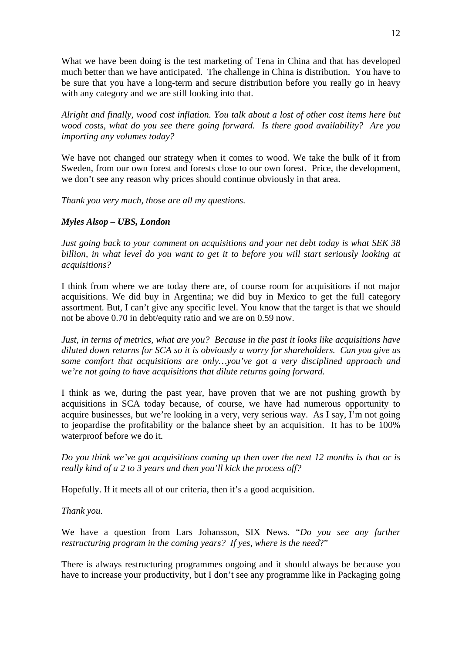What we have been doing is the test marketing of Tena in China and that has developed much better than we have anticipated. The challenge in China is distribution. You have to be sure that you have a long-term and secure distribution before you really go in heavy with any category and we are still looking into that.

*Alright and finally, wood cost inflation. You talk about a lost of other cost items here but wood costs, what do you see there going forward. Is there good availability? Are you importing any volumes today?* 

We have not changed our strategy when it comes to wood. We take the bulk of it from Sweden, from our own forest and forests close to our own forest. Price, the development, we don't see any reason why prices should continue obviously in that area.

*Thank you very much, those are all my questions.* 

## *Myles Alsop – UBS, London*

*Just going back to your comment on acquisitions and your net debt today is what SEK 38 billion, in what level do you want to get it to before you will start seriously looking at acquisitions?* 

I think from where we are today there are, of course room for acquisitions if not major acquisitions. We did buy in Argentina; we did buy in Mexico to get the full category assortment. But, I can't give any specific level. You know that the target is that we should not be above 0.70 in debt/equity ratio and we are on 0.59 now.

*Just, in terms of metrics, what are you? Because in the past it looks like acquisitions have diluted down returns for SCA so it is obviously a worry for shareholders. Can you give us some comfort that acquisitions are only…you've got a very disciplined approach and we're not going to have acquisitions that dilute returns going forward.* 

I think as we, during the past year, have proven that we are not pushing growth by acquisitions in SCA today because, of course, we have had numerous opportunity to acquire businesses, but we're looking in a very, very serious way. As I say, I'm not going to jeopardise the profitability or the balance sheet by an acquisition. It has to be 100% waterproof before we do it.

*Do you think we've got acquisitions coming up then over the next 12 months is that or is really kind of a 2 to 3 years and then you'll kick the process off?* 

Hopefully. If it meets all of our criteria, then it's a good acquisition.

## *Thank you.*

We have a question from Lars Johansson, SIX News. "Do you see any further *restructuring program in the coming years? If yes, where is the need*?"

There is always restructuring programmes ongoing and it should always be because you have to increase your productivity, but I don't see any programme like in Packaging going